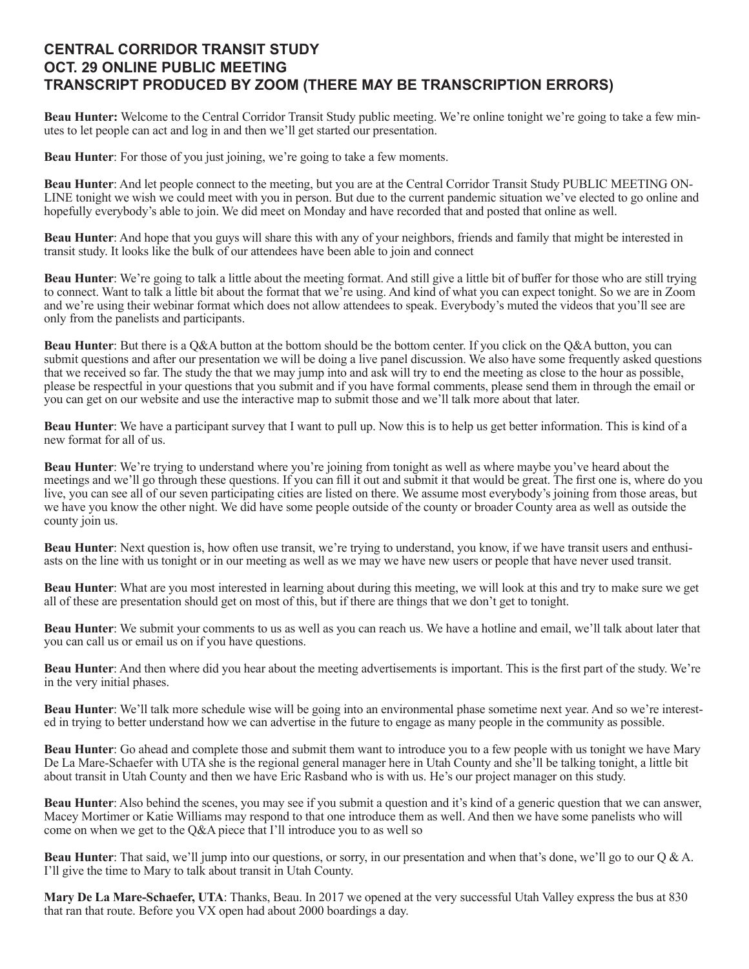## **CENTRAL CORRIDOR TRANSIT STUDY OCT. 29 ONLINE PUBLIC MEETING TRANSCRIPT PRODUCED BY ZOOM (THERE MAY BE TRANSCRIPTION ERRORS)**

**Beau Hunter:** Welcome to the Central Corridor Transit Study public meeting. We're online tonight we're going to take a few minutes to let people can act and log in and then we'll get started our presentation.

**Beau Hunter**: For those of you just joining, we're going to take a few moments.

**Beau Hunter**: And let people connect to the meeting, but you are at the Central Corridor Transit Study PUBLIC MEETING ON-LINE tonight we wish we could meet with you in person. But due to the current pandemic situation we've elected to go online and hopefully everybody's able to join. We did meet on Monday and have recorded that and posted that online as well.

**Beau Hunter**: And hope that you guys will share this with any of your neighbors, friends and family that might be interested in transit study. It looks like the bulk of our attendees have been able to join and connect

**Beau Hunter**: We're going to talk a little about the meeting format. And still give a little bit of buffer for those who are still trying to connect. Want to talk a little bit about the format that we're using. And kind of what you can expect tonight. So we are in Zoom and we're using their webinar format which does not allow attendees to speak. Everybody's muted the videos that you'll see are only from the panelists and participants.

**Beau Hunter**: But there is a O&A button at the bottom should be the bottom center. If you click on the O&A button, you can submit questions and after our presentation we will be doing a live panel discussion. We also have some frequently asked questions that we received so far. The study the that we may jump into and ask will try to end the meeting as close to the hour as possible, please be respectful in your questions that you submit and if you have formal comments, please send them in through the email or you can get on our website and use the interactive map to submit those and we'll talk more about that later.

**Beau Hunter**: We have a participant survey that I want to pull up. Now this is to help us get better information. This is kind of a new format for all of us.

**Beau Hunter**: We're trying to understand where you're joining from tonight as well as where maybe you've heard about the meetings and we'll go through these questions. If you can fill it out and submit it that would be great. The first one is, where do you live, you can see all of our seven participating cities are listed on there. We assume most everybody's joining from those areas, but we have you know the other night. We did have some people outside of the county or broader County area as well as outside the county join us.

**Beau Hunter**: Next question is, how often use transit, we're trying to understand, you know, if we have transit users and enthusiasts on the line with us tonight or in our meeting as well as we may we have new users or people that have never used transit.

**Beau Hunter**: What are you most interested in learning about during this meeting, we will look at this and try to make sure we get all of these are presentation should get on most of this, but if there are things that we don't get to tonight.

**Beau Hunter**: We submit your comments to us as well as you can reach us. We have a hotline and email, we'll talk about later that you can call us or email us on if you have questions.

**Beau Hunter**: And then where did you hear about the meeting advertisements is important. This is the first part of the study. We're in the very initial phases.

**Beau Hunter**: We'll talk more schedule wise will be going into an environmental phase sometime next year. And so we're interested in trying to better understand how we can advertise in the future to engage as many people in the community as possible.

**Beau Hunter**: Go ahead and complete those and submit them want to introduce you to a few people with us tonight we have Mary De La Mare-Schaefer with UTA she is the regional general manager here in Utah County and she'll be talking tonight, a little bit about transit in Utah County and then we have Eric Rasband who is with us. He's our project manager on this study.

**Beau Hunter**: Also behind the scenes, you may see if you submit a question and it's kind of a generic question that we can answer, Macey Mortimer or Katie Williams may respond to that one introduce them as well. And then we have some panelists who will come on when we get to the Q&A piece that I'll introduce you to as well so

**Beau Hunter**: That said, we'll jump into our questions, or sorry, in our presentation and when that's done, we'll go to our Q & A. I'll give the time to Mary to talk about transit in Utah County.

**Mary De La Mare-Schaefer, UTA**: Thanks, Beau. In 2017 we opened at the very successful Utah Valley express the bus at 830 that ran that route. Before you VX open had about 2000 boardings a day.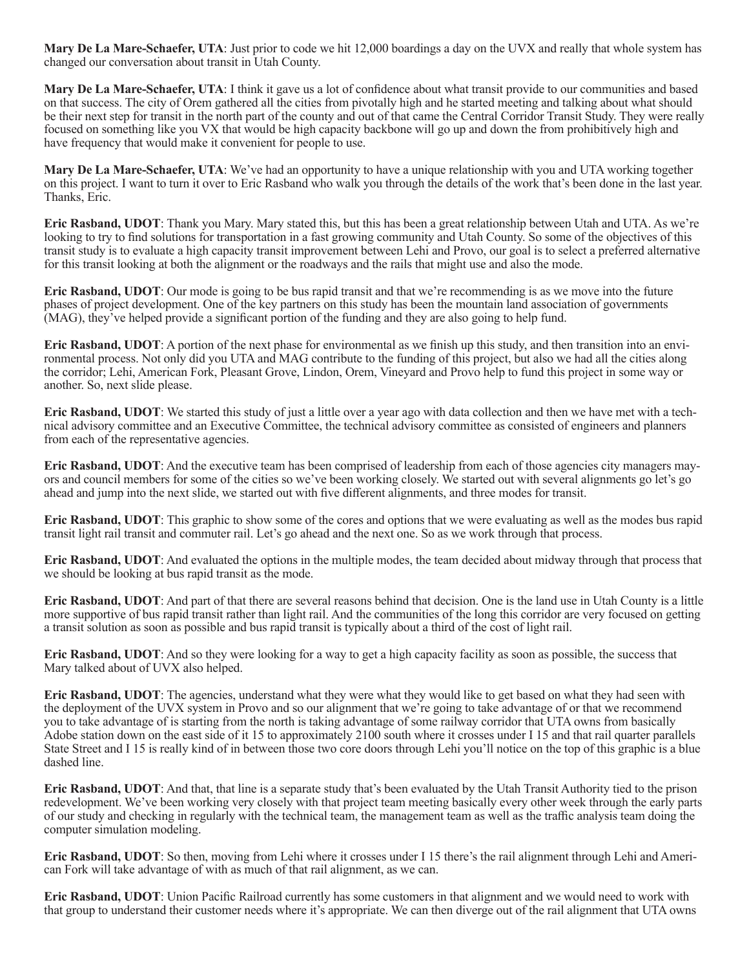**Mary De La Mare-Schaefer, UTA**: Just prior to code we hit 12,000 boardings a day on the UVX and really that whole system has changed our conversation about transit in Utah County.

**Mary De La Mare-Schaefer, UTA**: I think it gave us a lot of confidence about what transit provide to our communities and based on that success. The city of Orem gathered all the cities from pivotally high and he started meeting and talking about what should be their next step for transit in the north part of the county and out of that came the Central Corridor Transit Study. They were really focused on something like you VX that would be high capacity backbone will go up and down the from prohibitively high and have frequency that would make it convenient for people to use.

**Mary De La Mare-Schaefer, UTA**: We've had an opportunity to have a unique relationship with you and UTA working together on this project. I want to turn it over to Eric Rasband who walk you through the details of the work that's been done in the last year. Thanks, Eric.

**Eric Rasband, UDOT**: Thank you Mary. Mary stated this, but this has been a great relationship between Utah and UTA. As we're looking to try to find solutions for transportation in a fast growing community and Utah County. So some of the objectives of this transit study is to evaluate a high capacity transit improvement between Lehi and Provo, our goal is to select a preferred alternative for this transit looking at both the alignment or the roadways and the rails that might use and also the mode.

**Eric Rasband, UDOT**: Our mode is going to be bus rapid transit and that we're recommending is as we move into the future phases of project development. One of the key partners on this study has been the mountain land association of governments (MAG), they've helped provide a significant portion of the funding and they are also going to help fund.

**Eric Rasband, UDOT**: A portion of the next phase for environmental as we finish up this study, and then transition into an environmental process. Not only did you UTA and MAG contribute to the funding of this project, but also we had all the cities along the corridor; Lehi, American Fork, Pleasant Grove, Lindon, Orem, Vineyard and Provo help to fund this project in some way or another. So, next slide please.

**Eric Rasband, UDOT**: We started this study of just a little over a year ago with data collection and then we have met with a technical advisory committee and an Executive Committee, the technical advisory committee as consisted of engineers and planners from each of the representative agencies.

**Eric Rasband, UDOT**: And the executive team has been comprised of leadership from each of those agencies city managers mayors and council members for some of the cities so we've been working closely. We started out with several alignments go let's go ahead and jump into the next slide, we started out with five different alignments, and three modes for transit.

**Eric Rasband, UDOT**: This graphic to show some of the cores and options that we were evaluating as well as the modes bus rapid transit light rail transit and commuter rail. Let's go ahead and the next one. So as we work through that process.

**Eric Rasband, UDOT**: And evaluated the options in the multiple modes, the team decided about midway through that process that we should be looking at bus rapid transit as the mode.

**Eric Rasband, UDOT**: And part of that there are several reasons behind that decision. One is the land use in Utah County is a little more supportive of bus rapid transit rather than light rail. And the communities of the long this corridor are very focused on getting a transit solution as soon as possible and bus rapid transit is typically about a third of the cost of light rail.

**Eric Rasband, UDOT**: And so they were looking for a way to get a high capacity facility as soon as possible, the success that Mary talked about of UVX also helped.

**Eric Rasband, UDOT**: The agencies, understand what they were what they would like to get based on what they had seen with the deployment of the UVX system in Provo and so our alignment that we're going to take advantage of or that we recommend you to take advantage of is starting from the north is taking advantage of some railway corridor that UTA owns from basically Adobe station down on the east side of it 15 to approximately 2100 south where it crosses under I 15 and that rail quarter parallels State Street and I 15 is really kind of in between those two core doors through Lehi you'll notice on the top of this graphic is a blue dashed line.

**Eric Rasband, UDOT**: And that, that line is a separate study that's been evaluated by the Utah Transit Authority tied to the prison redevelopment. We've been working very closely with that project team meeting basically every other week through the early parts of our study and checking in regularly with the technical team, the management team as well as the traffic analysis team doing the computer simulation modeling.

**Eric Rasband, UDOT**: So then, moving from Lehi where it crosses under I 15 there's the rail alignment through Lehi and American Fork will take advantage of with as much of that rail alignment, as we can.

**Eric Rasband, UDOT**: Union Pacific Railroad currently has some customers in that alignment and we would need to work with that group to understand their customer needs where it's appropriate. We can then diverge out of the rail alignment that UTA owns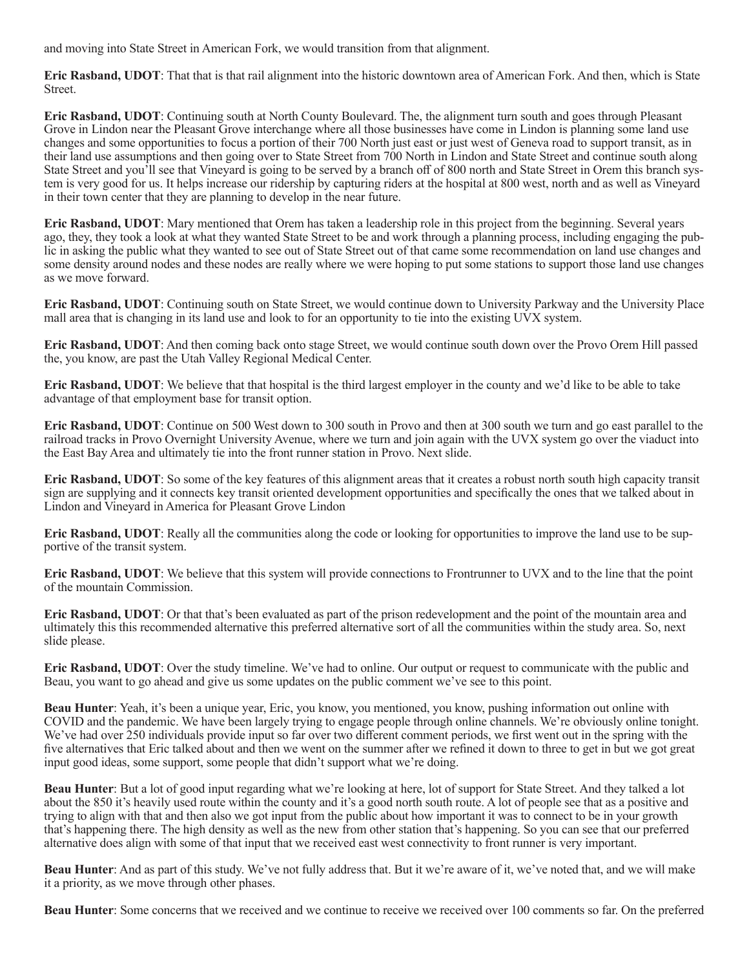and moving into State Street in American Fork, we would transition from that alignment.

**Eric Rasband, UDOT**: That that is that rail alignment into the historic downtown area of American Fork. And then, which is State Street.

**Eric Rasband, UDOT**: Continuing south at North County Boulevard. The, the alignment turn south and goes through Pleasant Grove in Lindon near the Pleasant Grove interchange where all those businesses have come in Lindon is planning some land use changes and some opportunities to focus a portion of their 700 North just east or just west of Geneva road to support transit, as in their land use assumptions and then going over to State Street from 700 North in Lindon and State Street and continue south along State Street and you'll see that Vineyard is going to be served by a branch off of 800 north and State Street in Orem this branch system is very good for us. It helps increase our ridership by capturing riders at the hospital at 800 west, north and as well as Vineyard in their town center that they are planning to develop in the near future.

**Eric Rasband, UDOT**: Mary mentioned that Orem has taken a leadership role in this project from the beginning. Several years ago, they, they took a look at what they wanted State Street to be and work through a planning process, including engaging the public in asking the public what they wanted to see out of State Street out of that came some recommendation on land use changes and some density around nodes and these nodes are really where we were hoping to put some stations to support those land use changes as we move forward.

**Eric Rasband, UDOT**: Continuing south on State Street, we would continue down to University Parkway and the University Place mall area that is changing in its land use and look to for an opportunity to tie into the existing UVX system.

**Eric Rasband, UDOT**: And then coming back onto stage Street, we would continue south down over the Provo Orem Hill passed the, you know, are past the Utah Valley Regional Medical Center.

**Eric Rasband, UDOT**: We believe that that hospital is the third largest employer in the county and we'd like to be able to take advantage of that employment base for transit option.

**Eric Rasband, UDOT**: Continue on 500 West down to 300 south in Provo and then at 300 south we turn and go east parallel to the railroad tracks in Provo Overnight University Avenue, where we turn and join again with the UVX system go over the viaduct into the East Bay Area and ultimately tie into the front runner station in Provo. Next slide.

**Eric Rasband, UDOT**: So some of the key features of this alignment areas that it creates a robust north south high capacity transit sign are supplying and it connects key transit oriented development opportunities and specifically the ones that we talked about in Lindon and Vineyard in America for Pleasant Grove Lindon

**Eric Rasband, UDOT**: Really all the communities along the code or looking for opportunities to improve the land use to be supportive of the transit system.

**Eric Rasband, UDOT**: We believe that this system will provide connections to Frontrunner to UVX and to the line that the point of the mountain Commission.

**Eric Rasband, UDOT**: Or that that's been evaluated as part of the prison redevelopment and the point of the mountain area and ultimately this this recommended alternative this preferred alternative sort of all the communities within the study area. So, next slide please.

**Eric Rasband, UDOT**: Over the study timeline. We've had to online. Our output or request to communicate with the public and Beau, you want to go ahead and give us some updates on the public comment we've see to this point.

**Beau Hunter**: Yeah, it's been a unique year, Eric, you know, you mentioned, you know, pushing information out online with COVID and the pandemic. We have been largely trying to engage people through online channels. We're obviously online tonight. We've had over 250 individuals provide input so far over two different comment periods, we first went out in the spring with the five alternatives that Eric talked about and then we went on the summer after we refined it down to three to get in but we got great input good ideas, some support, some people that didn't support what we're doing.

**Beau Hunter**: But a lot of good input regarding what we're looking at here, lot of support for State Street. And they talked a lot about the 850 it's heavily used route within the county and it's a good north south route. A lot of people see that as a positive and trying to align with that and then also we got input from the public about how important it was to connect to be in your growth that's happening there. The high density as well as the new from other station that's happening. So you can see that our preferred alternative does align with some of that input that we received east west connectivity to front runner is very important.

**Beau Hunter**: And as part of this study. We've not fully address that. But it we're aware of it, we've noted that, and we will make it a priority, as we move through other phases.

**Beau Hunter**: Some concerns that we received and we continue to receive we received over 100 comments so far. On the preferred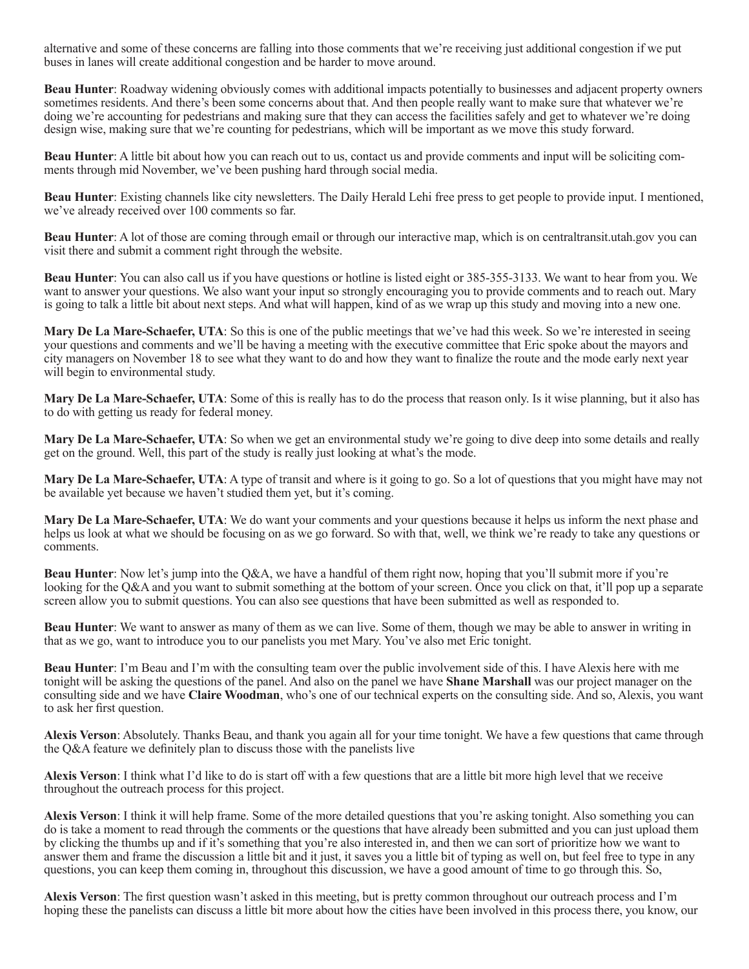alternative and some of these concerns are falling into those comments that we're receiving just additional congestion if we put buses in lanes will create additional congestion and be harder to move around.

**Beau Hunter**: Roadway widening obviously comes with additional impacts potentially to businesses and adjacent property owners sometimes residents. And there's been some concerns about that. And then people really want to make sure that whatever we're doing we're accounting for pedestrians and making sure that they can access the facilities safely and get to whatever we're doing design wise, making sure that we're counting for pedestrians, which will be important as we move this study forward.

**Beau Hunter**: A little bit about how you can reach out to us, contact us and provide comments and input will be soliciting comments through mid November, we've been pushing hard through social media.

**Beau Hunter**: Existing channels like city newsletters. The Daily Herald Lehi free press to get people to provide input. I mentioned, we've already received over 100 comments so far.

**Beau Hunter**: A lot of those are coming through email or through our interactive map, which is on central transit.utah.gov you can visit there and submit a comment right through the website.

**Beau Hunter**: You can also call us if you have questions or hotline is listed eight or 385-355-3133. We want to hear from you. We want to answer your questions. We also want your input so strongly encouraging you to provide comments and to reach out. Mary is going to talk a little bit about next steps. And what will happen, kind of as we wrap up this study and moving into a new one.

**Mary De La Mare-Schaefer, UTA**: So this is one of the public meetings that we've had this week. So we're interested in seeing your questions and comments and we'll be having a meeting with the executive committee that Eric spoke about the mayors and city managers on November 18 to see what they want to do and how they want to finalize the route and the mode early next year will begin to environmental study.

**Mary De La Mare-Schaefer, UTA**: Some of this is really has to do the process that reason only. Is it wise planning, but it also has to do with getting us ready for federal money.

**Mary De La Mare-Schaefer, UTA**: So when we get an environmental study we're going to dive deep into some details and really get on the ground. Well, this part of the study is really just looking at what's the mode.

**Mary De La Mare-Schaefer, UTA**: A type of transit and where is it going to go. So a lot of questions that you might have may not be available yet because we haven't studied them yet, but it's coming.

**Mary De La Mare-Schaefer, UTA**: We do want your comments and your questions because it helps us inform the next phase and helps us look at what we should be focusing on as we go forward. So with that, well, we think we're ready to take any questions or comments.

**Beau Hunter**: Now let's jump into the Q&A, we have a handful of them right now, hoping that you'll submit more if you're looking for the Q&A and you want to submit something at the bottom of your screen. Once you click on that, it'll pop up a separate screen allow you to submit questions. You can also see questions that have been submitted as well as responded to.

**Beau Hunter**: We want to answer as many of them as we can live. Some of them, though we may be able to answer in writing in that as we go, want to introduce you to our panelists you met Mary. You've also met Eric tonight.

**Beau Hunter**: I'm Beau and I'm with the consulting team over the public involvement side of this. I have Alexis here with me tonight will be asking the questions of the panel. And also on the panel we have **Shane Marshall** was our project manager on the consulting side and we have **Claire Woodman**, who's one of our technical experts on the consulting side. And so, Alexis, you want to ask her first question.

**Alexis Verson**: Absolutely. Thanks Beau, and thank you again all for your time tonight. We have a few questions that came through the Q&A feature we definitely plan to discuss those with the panelists live

**Alexis Verson**: I think what I'd like to do is start off with a few questions that are a little bit more high level that we receive throughout the outreach process for this project.

**Alexis Verson**: I think it will help frame. Some of the more detailed questions that you're asking tonight. Also something you can do is take a moment to read through the comments or the questions that have already been submitted and you can just upload them by clicking the thumbs up and if it's something that you're also interested in, and then we can sort of prioritize how we want to answer them and frame the discussion a little bit and it just, it saves you a little bit of typing as well on, but feel free to type in any questions, you can keep them coming in, throughout this discussion, we have a good amount of time to go through this. So,

**Alexis Verson**: The first question wasn't asked in this meeting, but is pretty common throughout our outreach process and I'm hoping these the panelists can discuss a little bit more about how the cities have been involved in this process there, you know, our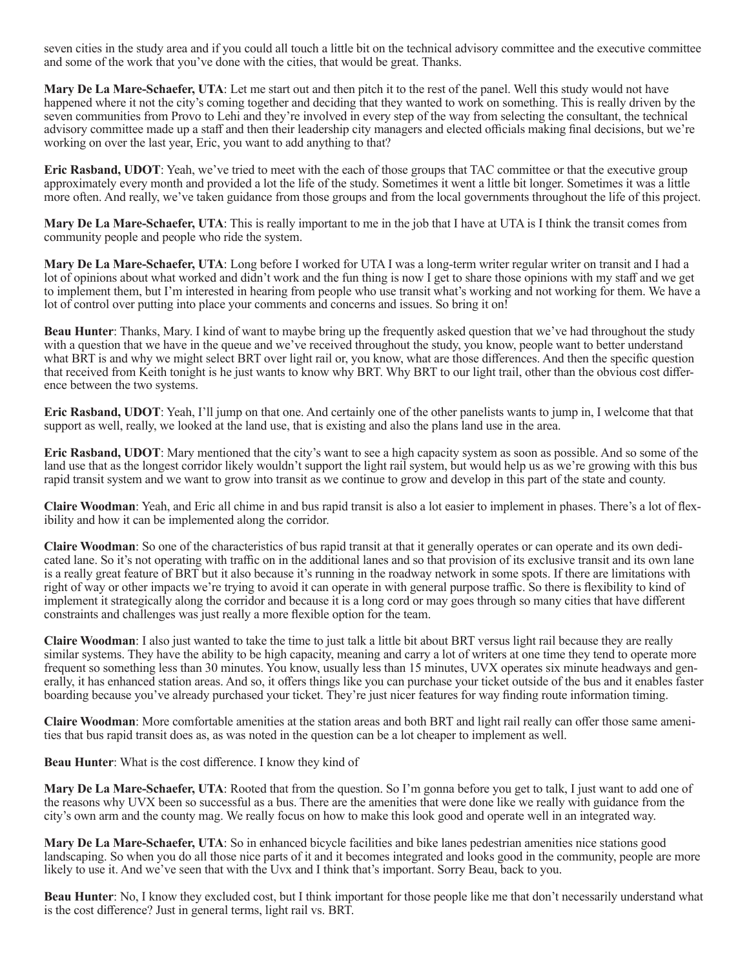seven cities in the study area and if you could all touch a little bit on the technical advisory committee and the executive committee and some of the work that you've done with the cities, that would be great. Thanks.

**Mary De La Mare-Schaefer, UTA**: Let me start out and then pitch it to the rest of the panel. Well this study would not have happened where it not the city's coming together and deciding that they wanted to work on something. This is really driven by the seven communities from Provo to Lehi and they're involved in every step of the way from selecting the consultant, the technical advisory committee made up a staff and then their leadership city managers and elected officials making final decisions, but we're working on over the last year, Eric, you want to add anything to that?

**Eric Rasband, UDOT**: Yeah, we've tried to meet with the each of those groups that TAC committee or that the executive group approximately every month and provided a lot the life of the study. Sometimes it went a little bit longer. Sometimes it was a little more often. And really, we've taken guidance from those groups and from the local governments throughout the life of this project.

**Mary De La Mare-Schaefer, UTA**: This is really important to me in the job that I have at UTA is I think the transit comes from community people and people who ride the system.

**Mary De La Mare-Schaefer, UTA**: Long before I worked for UTA I was a long-term writer regular writer on transit and I had a lot of opinions about what worked and didn't work and the fun thing is now I get to share those opinions with my staff and we get to implement them, but I'm interested in hearing from people who use transit what's working and not working for them. We have a lot of control over putting into place your comments and concerns and issues. So bring it on!

**Beau Hunter**: Thanks, Mary. I kind of want to maybe bring up the frequently asked question that we've had throughout the study with a question that we have in the queue and we've received throughout the study, you know, people want to better understand what BRT is and why we might select BRT over light rail or, you know, what are those differences. And then the specific question that received from Keith tonight is he just wants to know why BRT. Why BRT to our light trail, other than the obvious cost difference between the two systems.

**Eric Rasband, UDOT**: Yeah, I'll jump on that one. And certainly one of the other panelists wants to jump in, I welcome that that support as well, really, we looked at the land use, that is existing and also the plans land use in the area.

**Eric Rasband, UDOT**: Mary mentioned that the city's want to see a high capacity system as soon as possible. And so some of the land use that as the longest corridor likely wouldn't support the light rail system, but would help us as we're growing with this bus rapid transit system and we want to grow into transit as we continue to grow and develop in this part of the state and county.

**Claire Woodman**: Yeah, and Eric all chime in and bus rapid transit is also a lot easier to implement in phases. There's a lot of flexibility and how it can be implemented along the corridor.

**Claire Woodman**: So one of the characteristics of bus rapid transit at that it generally operates or can operate and its own dedicated lane. So it's not operating with traffic on in the additional lanes and so that provision of its exclusive transit and its own lane is a really great feature of BRT but it also because it's running in the roadway network in some spots. If there are limitations with right of way or other impacts we're trying to avoid it can operate in with general purpose traffic. So there is flexibility to kind of implement it strategically along the corridor and because it is a long cord or may goes through so many cities that have different constraints and challenges was just really a more flexible option for the team.

**Claire Woodman**: I also just wanted to take the time to just talk a little bit about BRT versus light rail because they are really similar systems. They have the ability to be high capacity, meaning and carry a lot of writers at one time they tend to operate more frequent so something less than 30 minutes. You know, usually less than 15 minutes, UVX operates six minute headways and generally, it has enhanced station areas. And so, it offers things like you can purchase your ticket outside of the bus and it enables faster boarding because you've already purchased your ticket. They're just nicer features for way finding route information timing.

**Claire Woodman**: More comfortable amenities at the station areas and both BRT and light rail really can offer those same amenities that bus rapid transit does as, as was noted in the question can be a lot cheaper to implement as well.

**Beau Hunter**: What is the cost difference. I know they kind of

**Mary De La Mare-Schaefer, UTA:** Rooted that from the question. So I'm gonna before you get to talk, I just want to add one of the reasons why UVX been so successful as a bus. There are the amenities that were done like we really with guidance from the city's own arm and the county mag. We really focus on how to make this look good and operate well in an integrated way.

**Mary De La Mare-Schaefer, UTA**: So in enhanced bicycle facilities and bike lanes pedestrian amenities nice stations good landscaping. So when you do all those nice parts of it and it becomes integrated and looks good in the community, people are more likely to use it. And we've seen that with the Uvx and I think that's important. Sorry Beau, back to you.

**Beau Hunter**: No, I know they excluded cost, but I think important for those people like me that don't necessarily understand what is the cost difference? Just in general terms, light rail vs. BRT.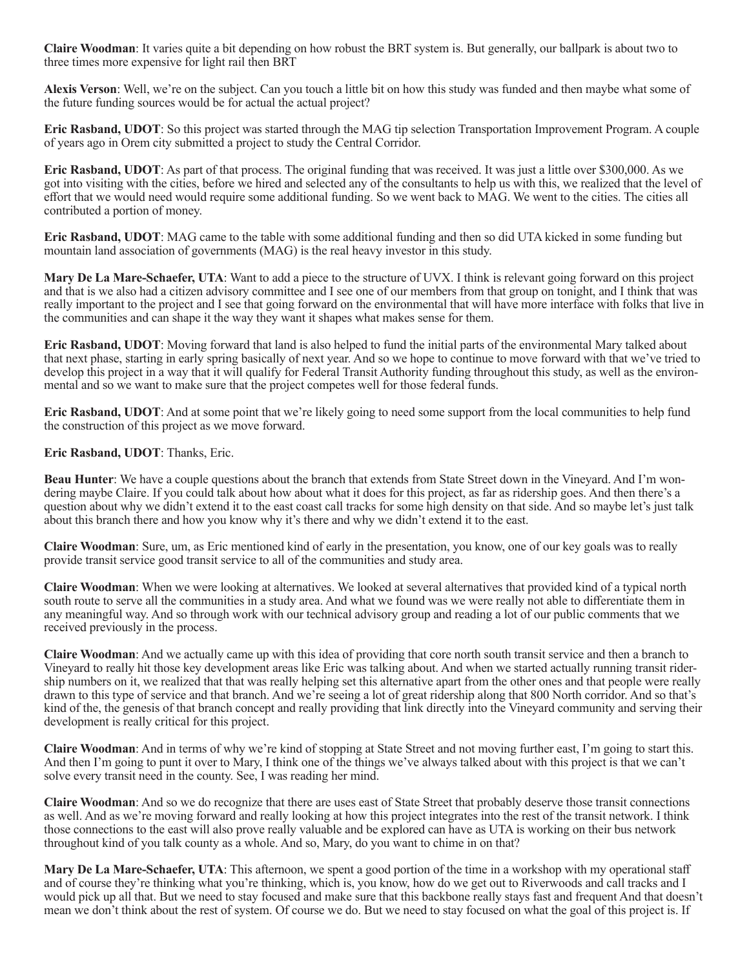**Claire Woodman**: It varies quite a bit depending on how robust the BRT system is. But generally, our ballpark is about two to three times more expensive for light rail then BRT

**Alexis Verson**: Well, we're on the subject. Can you touch a little bit on how this study was funded and then maybe what some of the future funding sources would be for actual the actual project?

**Eric Rasband, UDOT**: So this project was started through the MAG tip selection Transportation Improvement Program. A couple of years ago in Orem city submitted a project to study the Central Corridor.

**Eric Rasband, UDOT**: As part of that process. The original funding that was received. It was just a little over \$300,000. As we got into visiting with the cities, before we hired and selected any of the consultants to help us with this, we realized that the level of effort that we would need would require some additional funding. So we went back to MAG. We went to the cities. The cities all contributed a portion of money.

**Eric Rasband, UDOT**: MAG came to the table with some additional funding and then so did UTA kicked in some funding but mountain land association of governments (MAG) is the real heavy investor in this study.

**Mary De La Mare-Schaefer, UTA**: Want to add a piece to the structure of UVX. I think is relevant going forward on this project and that is we also had a citizen advisory committee and I see one of our members from that group on tonight, and I think that was really important to the project and I see that going forward on the environmental that will have more interface with folks that live in the communities and can shape it the way they want it shapes what makes sense for them.

**Eric Rasband, UDOT**: Moving forward that land is also helped to fund the initial parts of the environmental Mary talked about that next phase, starting in early spring basically of next year. And so we hope to continue to move forward with that we've tried to develop this project in a way that it will qualify for Federal Transit Authority funding throughout this study, as well as the environmental and so we want to make sure that the project competes well for those federal funds.

**Eric Rasband, UDOT**: And at some point that we're likely going to need some support from the local communities to help fund the construction of this project as we move forward.

**Eric Rasband, UDOT**: Thanks, Eric.

**Beau Hunter**: We have a couple questions about the branch that extends from State Street down in the Vineyard. And I'm wondering maybe Claire. If you could talk about how about what it does for this project, as far as ridership goes. And then there's a question about why we didn't extend it to the east coast call tracks for some high density on that side. And so maybe let's just talk about this branch there and how you know why it's there and why we didn't extend it to the east.

**Claire Woodman**: Sure, um, as Eric mentioned kind of early in the presentation, you know, one of our key goals was to really provide transit service good transit service to all of the communities and study area.

**Claire Woodman**: When we were looking at alternatives. We looked at several alternatives that provided kind of a typical north south route to serve all the communities in a study area. And what we found was we were really not able to differentiate them in any meaningful way. And so through work with our technical advisory group and reading a lot of our public comments that we received previously in the process.

**Claire Woodman**: And we actually came up with this idea of providing that core north south transit service and then a branch to Vineyard to really hit those key development areas like Eric was talking about. And when we started actually running transit ridership numbers on it, we realized that that was really helping set this alternative apart from the other ones and that people were really drawn to this type of service and that branch. And we're seeing a lot of great ridership along that 800 North corridor. And so that's kind of the, the genesis of that branch concept and really providing that link directly into the Vineyard community and serving their development is really critical for this project.

**Claire Woodman**: And in terms of why we're kind of stopping at State Street and not moving further east, I'm going to start this. And then I'm going to punt it over to Mary, I think one of the things we've always talked about with this project is that we can't solve every transit need in the county. See, I was reading her mind.

**Claire Woodman**: And so we do recognize that there are uses east of State Street that probably deserve those transit connections as well. And as we're moving forward and really looking at how this project integrates into the rest of the transit network. I think those connections to the east will also prove really valuable and be explored can have as UTA is working on their bus network throughout kind of you talk county as a whole. And so, Mary, do you want to chime in on that?

**Mary De La Mare-Schaefer, UTA**: This afternoon, we spent a good portion of the time in a workshop with my operational staff and of course they're thinking what you're thinking, which is, you know, how do we get out to Riverwoods and call tracks and I would pick up all that. But we need to stay focused and make sure that this backbone really stays fast and frequent And that doesn't mean we don't think about the rest of system. Of course we do. But we need to stay focused on what the goal of this project is. If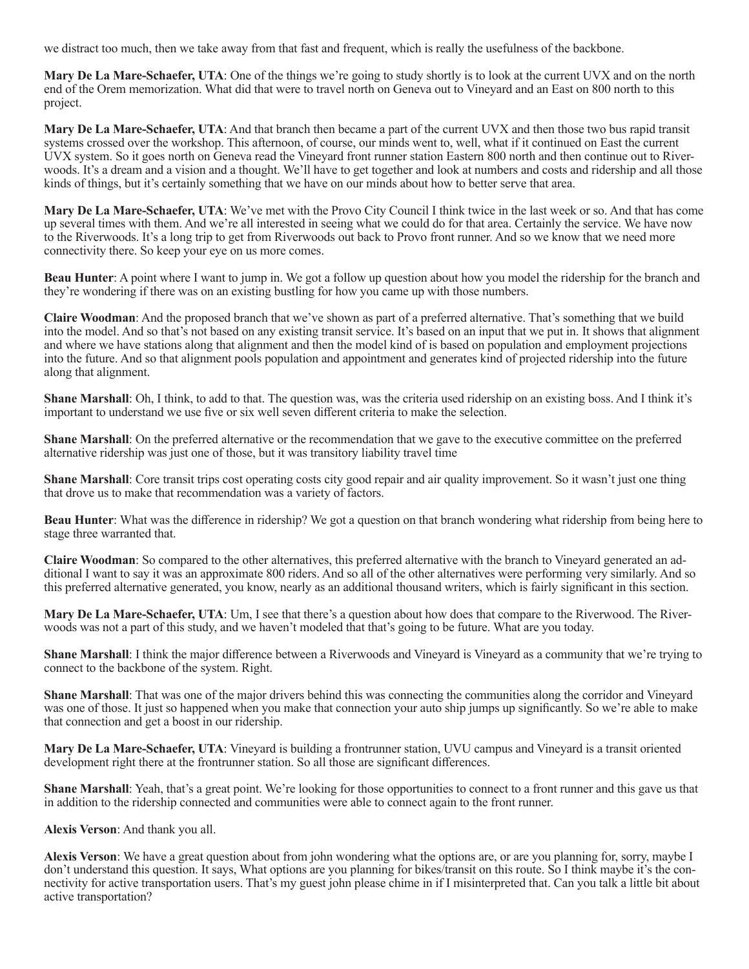we distract too much, then we take away from that fast and frequent, which is really the usefulness of the backbone.

**Mary De La Mare-Schaefer, UTA**: One of the things we're going to study shortly is to look at the current UVX and on the north end of the Orem memorization. What did that were to travel north on Geneva out to Vineyard and an East on 800 north to this project.

**Mary De La Mare-Schaefer, UTA**: And that branch then became a part of the current UVX and then those two bus rapid transit systems crossed over the workshop. This afternoon, of course, our minds went to, well, what if it continued on East the current UVX system. So it goes north on Geneva read the Vineyard front runner station Eastern 800 north and then continue out to Riverwoods. It's a dream and a vision and a thought. We'll have to get together and look at numbers and costs and ridership and all those kinds of things, but it's certainly something that we have on our minds about how to better serve that area.

**Mary De La Mare-Schaefer, UTA**: We've met with the Provo City Council I think twice in the last week or so. And that has come up several times with them. And we're all interested in seeing what we could do for that area. Certainly the service. We have now to the Riverwoods. It's a long trip to get from Riverwoods out back to Provo front runner. And so we know that we need more connectivity there. So keep your eye on us more comes.

**Beau Hunter**: A point where I want to jump in. We got a follow up question about how you model the ridership for the branch and they're wondering if there was on an existing bustling for how you came up with those numbers.

**Claire Woodman**: And the proposed branch that we've shown as part of a preferred alternative. That's something that we build into the model. And so that's not based on any existing transit service. It's based on an input that we put in. It shows that alignment and where we have stations along that alignment and then the model kind of is based on population and employment projections into the future. And so that alignment pools population and appointment and generates kind of projected ridership into the future along that alignment.

**Shane Marshall**: Oh, I think, to add to that. The question was, was the criteria used ridership on an existing boss. And I think it's important to understand we use five or six well seven different criteria to make the selection.

**Shane Marshall**: On the preferred alternative or the recommendation that we gave to the executive committee on the preferred alternative ridership was just one of those, but it was transitory liability travel time

**Shane Marshall**: Core transit trips cost operating costs city good repair and air quality improvement. So it wasn't just one thing that drove us to make that recommendation was a variety of factors.

**Beau Hunter**: What was the difference in ridership? We got a question on that branch wondering what ridership from being here to stage three warranted that.

**Claire Woodman**: So compared to the other alternatives, this preferred alternative with the branch to Vineyard generated an additional I want to say it was an approximate 800 riders. And so all of the other alternatives were performing very similarly. And so this preferred alternative generated, you know, nearly as an additional thousand writers, which is fairly significant in this section.

**Mary De La Mare-Schaefer, UTA**: Um, I see that there's a question about how does that compare to the Riverwood. The Riverwoods was not a part of this study, and we haven't modeled that that's going to be future. What are you today.

**Shane Marshall**: I think the major difference between a Riverwoods and Vineyard is Vineyard as a community that we're trying to connect to the backbone of the system. Right.

**Shane Marshall**: That was one of the major drivers behind this was connecting the communities along the corridor and Vineyard was one of those. It just so happened when you make that connection your auto ship jumps up significantly. So we're able to make that connection and get a boost in our ridership.

**Mary De La Mare-Schaefer, UTA**: Vineyard is building a frontrunner station, UVU campus and Vineyard is a transit oriented development right there at the frontrunner station. So all those are significant differences.

**Shane Marshall**: Yeah, that's a great point. We're looking for those opportunities to connect to a front runner and this gave us that in addition to the ridership connected and communities were able to connect again to the front runner.

**Alexis Verson**: And thank you all.

**Alexis Verson**: We have a great question about from john wondering what the options are, or are you planning for, sorry, maybe I don't understand this question. It says, What options are you planning for bikes/transit on this route. So I think maybe it's the connectivity for active transportation users. That's my guest john please chime in if I misinterpreted that. Can you talk a little bit about active transportation?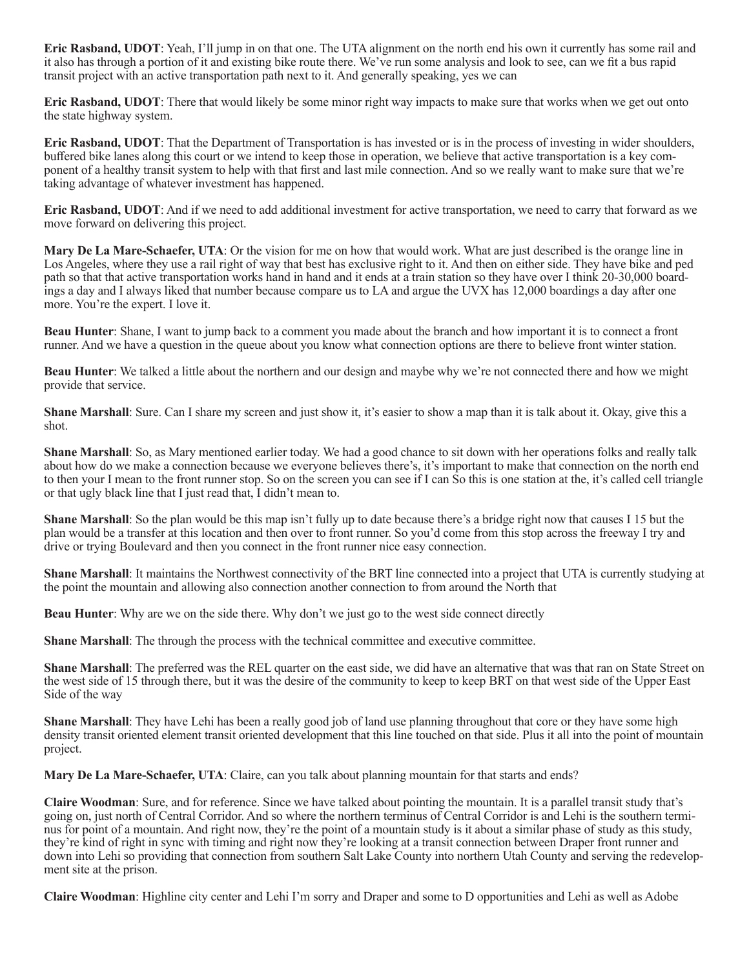**Eric Rasband, UDOT**: Yeah, I'll jump in on that one. The UTA alignment on the north end his own it currently has some rail and it also has through a portion of it and existing bike route there. We've run some analysis and look to see, can we fit a bus rapid transit project with an active transportation path next to it. And generally speaking, yes we can

**Eric Rasband, UDOT**: There that would likely be some minor right way impacts to make sure that works when we get out onto the state highway system.

**Eric Rasband, UDOT**: That the Department of Transportation is has invested or is in the process of investing in wider shoulders, buffered bike lanes along this court or we intend to keep those in operation, we believe that active transportation is a key component of a healthy transit system to help with that first and last mile connection. And so we really want to make sure that we're taking advantage of whatever investment has happened.

**Eric Rasband, UDOT**: And if we need to add additional investment for active transportation, we need to carry that forward as we move forward on delivering this project.

**Mary De La Mare-Schaefer, UTA**: Or the vision for me on how that would work. What are just described is the orange line in Los Angeles, where they use a rail right of way that best has exclusive right to it. And then on either side. They have bike and ped path so that that active transportation works hand in hand and it ends at a train station so they have over I think 20-30,000 boardings a day and I always liked that number because compare us to LA and argue the UVX has 12,000 boardings a day after one more. You're the expert. I love it.

**Beau Hunter**: Shane, I want to jump back to a comment you made about the branch and how important it is to connect a front runner. And we have a question in the queue about you know what connection options are there to believe front winter station.

**Beau Hunter**: We talked a little about the northern and our design and maybe why we're not connected there and how we might provide that service.

**Shane Marshall**: Sure. Can I share my screen and just show it, it's easier to show a map than it is talk about it. Okay, give this a shot.

**Shane Marshall**: So, as Mary mentioned earlier today. We had a good chance to sit down with her operations folks and really talk about how do we make a connection because we everyone believes there's, it's important to make that connection on the north end to then your I mean to the front runner stop. So on the screen you can see if I can So this is one station at the, it's called cell triangle or that ugly black line that I just read that, I didn't mean to.

**Shane Marshall**: So the plan would be this map isn't fully up to date because there's a bridge right now that causes I 15 but the plan would be a transfer at this location and then over to front runner. So you'd come from this stop across the freeway I try and drive or trying Boulevard and then you connect in the front runner nice easy connection.

**Shane Marshall**: It maintains the Northwest connectivity of the BRT line connected into a project that UTA is currently studying at the point the mountain and allowing also connection another connection to from around the North that

**Beau Hunter**: Why are we on the side there. Why don't we just go to the west side connect directly

**Shane Marshall**: The through the process with the technical committee and executive committee.

**Shane Marshall**: The preferred was the REL quarter on the east side, we did have an alternative that was that ran on State Street on the west side of 15 through there, but it was the desire of the community to keep to keep BRT on that west side of the Upper East Side of the way

**Shane Marshall**: They have Lehi has been a really good job of land use planning throughout that core or they have some high density transit oriented element transit oriented development that this line touched on that side. Plus it all into the point of mountain project.

**Mary De La Mare-Schaefer, UTA**: Claire, can you talk about planning mountain for that starts and ends?

**Claire Woodman**: Sure, and for reference. Since we have talked about pointing the mountain. It is a parallel transit study that's going on, just north of Central Corridor. And so where the northern terminus of Central Corridor is and Lehi is the southern terminus for point of a mountain. And right now, they're the point of a mountain study is it about a similar phase of study as this study, they're kind of right in sync with timing and right now they're looking at a transit connection between Draper front runner and down into Lehi so providing that connection from southern Salt Lake County into northern Utah County and serving the redevelopment site at the prison.

**Claire Woodman**: Highline city center and Lehi I'm sorry and Draper and some to D opportunities and Lehi as well as Adobe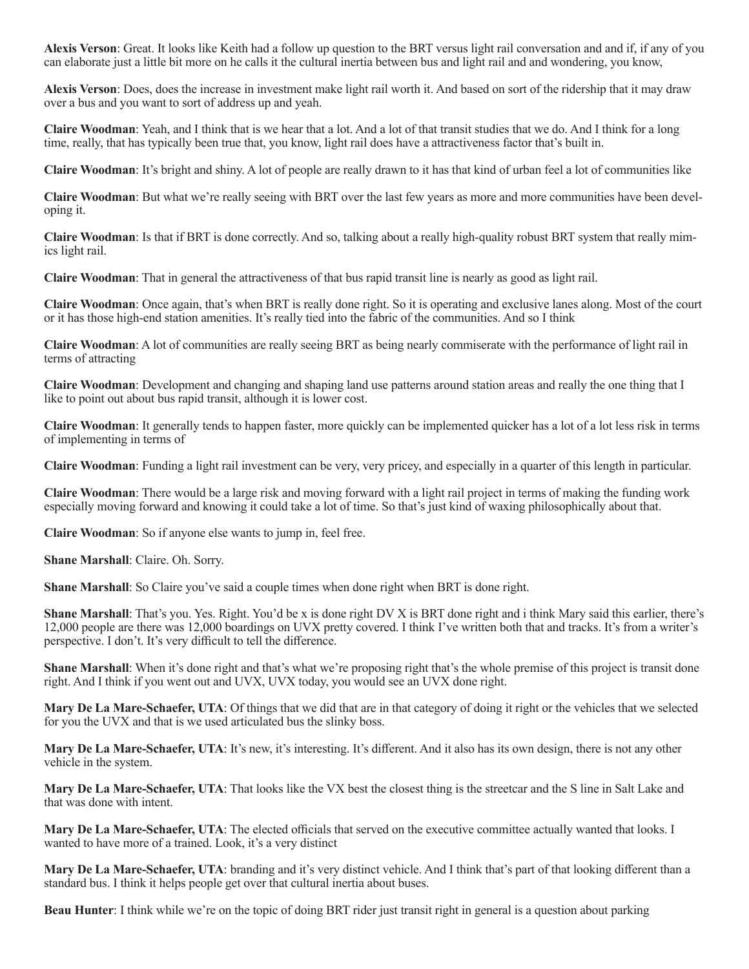**Alexis Verson**: Great. It looks like Keith had a follow up question to the BRT versus light rail conversation and and if, if any of you can elaborate just a little bit more on he calls it the cultural inertia between bus and light rail and and wondering, you know,

**Alexis Verson**: Does, does the increase in investment make light rail worth it. And based on sort of the ridership that it may draw over a bus and you want to sort of address up and yeah.

**Claire Woodman**: Yeah, and I think that is we hear that a lot. And a lot of that transit studies that we do. And I think for a long time, really, that has typically been true that, you know, light rail does have a attractiveness factor that's built in.

**Claire Woodman**: It's bright and shiny. A lot of people are really drawn to it has that kind of urban feel a lot of communities like

**Claire Woodman**: But what we're really seeing with BRT over the last few years as more and more communities have been developing it.

**Claire Woodman**: Is that if BRT is done correctly. And so, talking about a really high-quality robust BRT system that really mimics light rail.

**Claire Woodman**: That in general the attractiveness of that bus rapid transit line is nearly as good as light rail.

**Claire Woodman**: Once again, that's when BRT is really done right. So it is operating and exclusive lanes along. Most of the court or it has those high-end station amenities. It's really tied into the fabric of the communities. And so I think

**Claire Woodman**: A lot of communities are really seeing BRT as being nearly commiserate with the performance of light rail in terms of attracting

**Claire Woodman**: Development and changing and shaping land use patterns around station areas and really the one thing that I like to point out about bus rapid transit, although it is lower cost.

**Claire Woodman**: It generally tends to happen faster, more quickly can be implemented quicker has a lot of a lot less risk in terms of implementing in terms of

**Claire Woodman**: Funding a light rail investment can be very, very pricey, and especially in a quarter of this length in particular.

**Claire Woodman**: There would be a large risk and moving forward with a light rail project in terms of making the funding work especially moving forward and knowing it could take a lot of time. So that's just kind of waxing philosophically about that.

**Claire Woodman**: So if anyone else wants to jump in, feel free.

**Shane Marshall**: Claire. Oh. Sorry.

**Shane Marshall:** So Claire you've said a couple times when done right when BRT is done right.

**Shane Marshall**: That's you. Yes. Right. You'd be x is done right DV X is BRT done right and i think Mary said this earlier, there's 12,000 people are there was 12,000 boardings on UVX pretty covered. I think I've written both that and tracks. It's from a writer's perspective. I don't. It's very difficult to tell the difference.

**Shane Marshall**: When it's done right and that's what we're proposing right that's the whole premise of this project is transit done right. And I think if you went out and UVX, UVX today, you would see an UVX done right.

**Mary De La Mare-Schaefer, UTA**: Of things that we did that are in that category of doing it right or the vehicles that we selected for you the UVX and that is we used articulated bus the slinky boss.

**Mary De La Mare-Schaefer, UTA**: It's new, it's interesting. It's different. And it also has its own design, there is not any other vehicle in the system.

**Mary De La Mare-Schaefer, UTA**: That looks like the VX best the closest thing is the streetcar and the S line in Salt Lake and that was done with intent.

**Mary De La Mare-Schaefer, UTA**: The elected officials that served on the executive committee actually wanted that looks. I wanted to have more of a trained. Look, it's a very distinct

**Mary De La Mare-Schaefer, UTA**: branding and it's very distinct vehicle. And I think that's part of that looking different than a standard bus. I think it helps people get over that cultural inertia about buses.

**Beau Hunter**: I think while we're on the topic of doing BRT rider just transit right in general is a question about parking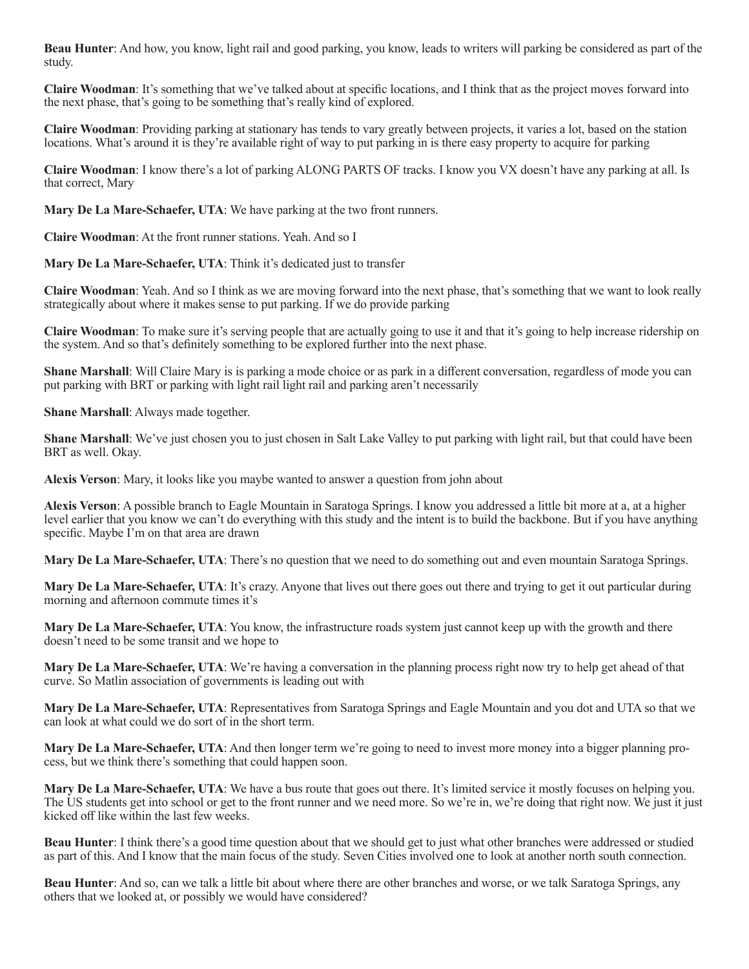**Beau Hunter**: And how, you know, light rail and good parking, you know, leads to writers will parking be considered as part of the study.

**Claire Woodman**: It's something that we've talked about at specific locations, and I think that as the project moves forward into the next phase, that's going to be something that's really kind of explored.

**Claire Woodman**: Providing parking at stationary has tends to vary greatly between projects, it varies a lot, based on the station locations. What's around it is they're available right of way to put parking in is there easy property to acquire for parking

**Claire Woodman**: I know there's a lot of parking ALONG PARTS OF tracks. I know you VX doesn't have any parking at all. Is that correct, Mary

**Mary De La Mare-Schaefer, UTA**: We have parking at the two front runners.

**Claire Woodman**: At the front runner stations. Yeah. And so I

**Mary De La Mare-Schaefer, UTA**: Think it's dedicated just to transfer

**Claire Woodman**: Yeah. And so I think as we are moving forward into the next phase, that's something that we want to look really strategically about where it makes sense to put parking. If we do provide parking

**Claire Woodman**: To make sure it's serving people that are actually going to use it and that it's going to help increase ridership on the system. And so that's definitely something to be explored further into the next phase.

**Shane Marshall**: Will Claire Mary is is parking a mode choice or as park in a different conversation, regardless of mode you can put parking with BRT or parking with light rail light rail and parking aren't necessarily

**Shane Marshall**: Always made together.

**Shane Marshall**: We've just chosen you to just chosen in Salt Lake Valley to put parking with light rail, but that could have been BRT as well. Okay.

**Alexis Verson**: Mary, it looks like you maybe wanted to answer a question from john about

**Alexis Verson**: A possible branch to Eagle Mountain in Saratoga Springs. I know you addressed a little bit more at a, at a higher level earlier that you know we can't do everything with this study and the intent is to build the backbone. But if you have anything specific. Maybe I'm on that area are drawn

**Mary De La Mare-Schaefer, UTA**: There's no question that we need to do something out and even mountain Saratoga Springs.

**Mary De La Mare-Schaefer, UTA:** It's crazy. Anyone that lives out there goes out there and trying to get it out particular during morning and afternoon commute times it's

**Mary De La Mare-Schaefer, UTA**: You know, the infrastructure roads system just cannot keep up with the growth and there doesn't need to be some transit and we hope to

**Mary De La Mare-Schaefer, UTA**: We're having a conversation in the planning process right now try to help get ahead of that curve. So Matlin association of governments is leading out with

**Mary De La Mare-Schaefer, UTA**: Representatives from Saratoga Springs and Eagle Mountain and you dot and UTA so that we can look at what could we do sort of in the short term.

**Mary De La Mare-Schaefer, UTA**: And then longer term we're going to need to invest more money into a bigger planning process, but we think there's something that could happen soon.

**Mary De La Mare-Schaefer, UTA**: We have a bus route that goes out there. It's limited service it mostly focuses on helping you. The US students get into school or get to the front runner and we need more. So we're in, we're doing that right now. We just it just kicked off like within the last few weeks.

**Beau Hunter**: I think there's a good time question about that we should get to just what other branches were addressed or studied as part of this. And I know that the main focus of the study. Seven Cities involved one to look at another north south connection.

**Beau Hunter**: And so, can we talk a little bit about where there are other branches and worse, or we talk Saratoga Springs, any others that we looked at, or possibly we would have considered?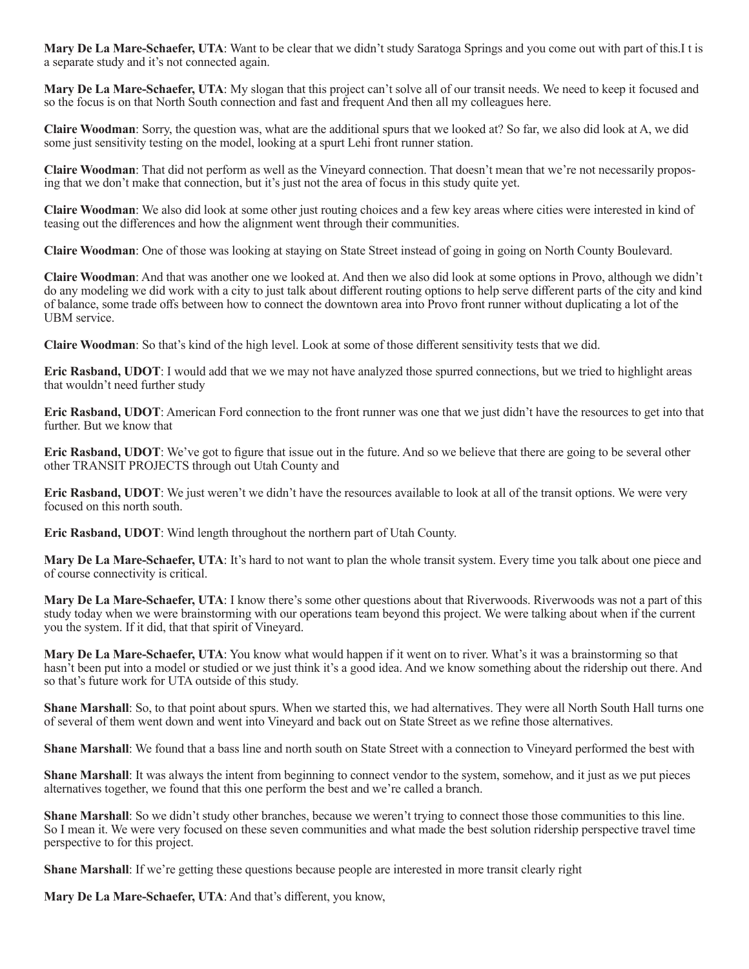**Mary De La Mare-Schaefer, UTA**: Want to be clear that we didn't study Saratoga Springs and you come out with part of this.I t is a separate study and it's not connected again.

**Mary De La Mare-Schaefer, UTA**: My slogan that this project can't solve all of our transit needs. We need to keep it focused and so the focus is on that North South connection and fast and frequent And then all my colleagues here.

**Claire Woodman**: Sorry, the question was, what are the additional spurs that we looked at? So far, we also did look at A, we did some just sensitivity testing on the model, looking at a spurt Lehi front runner station.

**Claire Woodman**: That did not perform as well as the Vineyard connection. That doesn't mean that we're not necessarily proposing that we don't make that connection, but it's just not the area of focus in this study quite yet.

**Claire Woodman**: We also did look at some other just routing choices and a few key areas where cities were interested in kind of teasing out the differences and how the alignment went through their communities.

**Claire Woodman**: One of those was looking at staying on State Street instead of going in going on North County Boulevard.

**Claire Woodman**: And that was another one we looked at. And then we also did look at some options in Provo, although we didn't do any modeling we did work with a city to just talk about different routing options to help serve different parts of the city and kind of balance, some trade offs between how to connect the downtown area into Provo front runner without duplicating a lot of the UBM service.

**Claire Woodman**: So that's kind of the high level. Look at some of those different sensitivity tests that we did.

**Eric Rasband, UDOT**: I would add that we we may not have analyzed those spurred connections, but we tried to highlight areas that wouldn't need further study

**Eric Rasband, UDOT**: American Ford connection to the front runner was one that we just didn't have the resources to get into that further. But we know that

**Eric Rasband, UDOT**: We've got to figure that issue out in the future. And so we believe that there are going to be several other other TRANSIT PROJECTS through out Utah County and

**Eric Rasband, UDOT**: We just weren't we didn't have the resources available to look at all of the transit options. We were very focused on this north south.

**Eric Rasband, UDOT**: Wind length throughout the northern part of Utah County.

**Mary De La Mare-Schaefer, UTA**: It's hard to not want to plan the whole transit system. Every time you talk about one piece and of course connectivity is critical.

**Mary De La Mare-Schaefer, UTA**: I know there's some other questions about that Riverwoods. Riverwoods was not a part of this study today when we were brainstorming with our operations team beyond this project. We were talking about when if the current you the system. If it did, that that spirit of Vineyard.

**Mary De La Mare-Schaefer, UTA**: You know what would happen if it went on to river. What's it was a brainstorming so that hasn't been put into a model or studied or we just think it's a good idea. And we know something about the ridership out there. And so that's future work for UTA outside of this study.

**Shane Marshall**: So, to that point about spurs. When we started this, we had alternatives. They were all North South Hall turns one of several of them went down and went into Vineyard and back out on State Street as we refine those alternatives.

**Shane Marshall**: We found that a bass line and north south on State Street with a connection to Vineyard performed the best with

**Shane Marshall**: It was always the intent from beginning to connect vendor to the system, somehow, and it just as we put pieces alternatives together, we found that this one perform the best and we're called a branch.

**Shane Marshall**: So we didn't study other branches, because we weren't trying to connect those those communities to this line. So I mean it. We were very focused on these seven communities and what made the best solution ridership perspective travel time perspective to for this project.

**Shane Marshall**: If we're getting these questions because people are interested in more transit clearly right

**Mary De La Mare-Schaefer, UTA**: And that's different, you know,